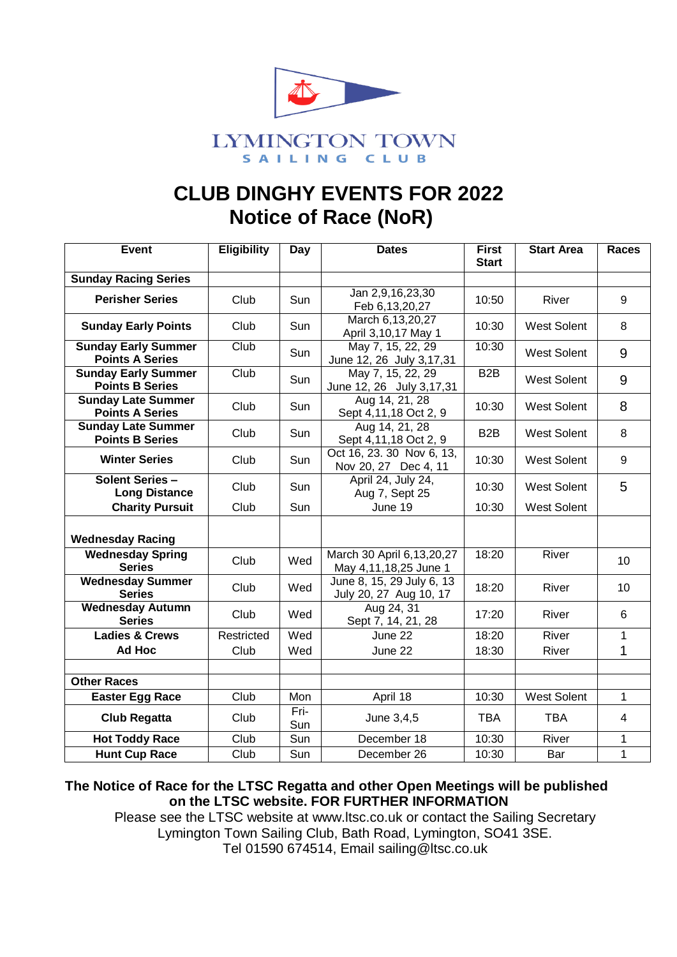

# **CLUB DINGHY EVENTS FOR 2022 Notice of Race (NoR)**

| Event                                                | <b>Eligibility</b> | Day         | <b>Dates</b>                                        | <b>First</b><br><b>Start</b> | <b>Start Area</b>  | Races            |
|------------------------------------------------------|--------------------|-------------|-----------------------------------------------------|------------------------------|--------------------|------------------|
| <b>Sunday Racing Series</b>                          |                    |             |                                                     |                              |                    |                  |
| <b>Perisher Series</b>                               | Club               | Sun         | Jan 2,9,16,23,30<br>Feb 6,13,20,27                  | 10:50                        | River              | 9                |
| <b>Sunday Early Points</b>                           | Club               | Sun         | March 6,13,20,27<br>April 3,10,17 May 1             | 10:30                        | <b>West Solent</b> | 8                |
| <b>Sunday Early Summer</b><br><b>Points A Series</b> | Club               | Sun         | May 7, 15, 22, 29<br>June 12, 26 July 3, 17, 31     | 10:30                        | <b>West Solent</b> | 9                |
| <b>Sunday Early Summer</b><br><b>Points B Series</b> | Club               | Sun         | May 7, 15, 22, 29<br>June 12, 26 July 3,17,31       | B <sub>2</sub> B             | <b>West Solent</b> | 9                |
| <b>Sunday Late Summer</b><br><b>Points A Series</b>  | Club               | Sun         | Aug 14, 21, 28<br>Sept 4, 11, 18 Oct 2, 9           | 10:30                        | <b>West Solent</b> | 8                |
| <b>Sunday Late Summer</b><br><b>Points B Series</b>  | Club               | Sun         | Aug 14, 21, 28<br>Sept 4, 11, 18 Oct 2, 9           | B <sub>2</sub> B             | <b>West Solent</b> | 8                |
| <b>Winter Series</b>                                 | Club               | Sun         | Oct 16, 23. 30 Nov 6, 13,<br>Nov 20, 27 Dec 4, 11   | 10:30                        | <b>West Solent</b> | $\boldsymbol{9}$ |
| Solent Series -<br><b>Long Distance</b>              | Club               | Sun         | April 24, July 24,<br>Aug 7, Sept 25                | 10:30                        | <b>West Solent</b> | 5                |
| <b>Charity Pursuit</b>                               | Club               | Sun         | June 19                                             | 10:30                        | <b>West Solent</b> |                  |
| <b>Wednesday Racing</b>                              |                    |             |                                                     |                              |                    |                  |
| <b>Wednesday Spring</b><br><b>Series</b>             | Club               | Wed         | March 30 April 6,13,20,27<br>May 4,11,18,25 June 1  | 18:20                        | River              | 10               |
| <b>Wednesday Summer</b><br><b>Series</b>             | Club               | Wed         | June 8, 15, 29 July 6, 13<br>July 20, 27 Aug 10, 17 | 18:20                        | River              | 10               |
| <b>Wednesday Autumn</b><br><b>Series</b>             | Club               | Wed         | Aug 24, 31<br>Sept 7, 14, 21, 28                    | 17:20                        | River              | 6                |
| <b>Ladies &amp; Crews</b>                            | Restricted         | Wed         | June 22                                             | 18:20                        | <b>River</b>       | 1                |
| <b>Ad Hoc</b>                                        | Club               | Wed         | June 22                                             | 18:30                        | River              | 1                |
|                                                      |                    |             |                                                     |                              |                    |                  |
| <b>Other Races</b>                                   |                    |             |                                                     |                              |                    |                  |
| <b>Easter Egg Race</b>                               | Club               | Mon         | April 18                                            | 10:30                        | <b>West Solent</b> | 1                |
| <b>Club Regatta</b>                                  | Club               | Fri-<br>Sun | June 3,4,5                                          | <b>TBA</b>                   | <b>TBA</b>         | $\overline{4}$   |
| <b>Hot Toddy Race</b>                                | Club               | Sun         | December 18                                         | 10:30                        | River              | 1                |
| <b>Hunt Cup Race</b>                                 | Club               | Sun         | December 26                                         | 10:30                        | Bar                | 1                |

## **The Notice of Race for the LTSC Regatta and other Open Meetings will be published on the LTSC website. FOR FURTHER INFORMATION**

Please see the LTSC website at www.ltsc.co.uk or contact the Sailing Secretary Lymington Town Sailing Club, Bath Road, Lymington, SO41 3SE. Tel 01590 674514, Email sailing@ltsc.co.uk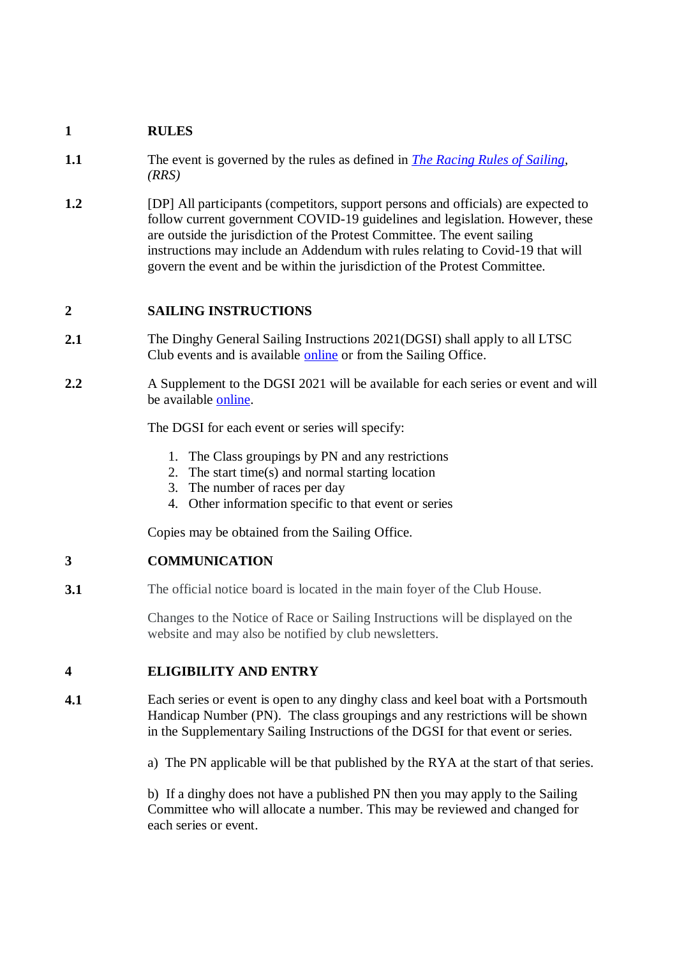## **1 RULES**

- **1.1** The event is governed by the rules as defined in *[The Racing Rules of Sailing,](https://www.sailing.org/tools/documents/RRS20212024Finalwithbookmarks-%5b27255%5d.pdf) (RRS)*
- **1.2 IDP** All participants (competitors, support persons and officials) are expected to follow current government COVID-19 guidelines and legislation. However, these are outside the jurisdiction of the Protest Committee. The event sailing instructions may include an Addendum with rules relating to Covid-19 that will govern the event and be within the jurisdiction of the Protest Committee.

## **2 SAILING INSTRUCTIONS**

- **2.1** The Dinghy General Sailing Instructions 2021(DGSI) shall apply to all LTSC Club events and is available [online](https://www.ltsc.co.uk/notices) or from the Sailing Office.
- **2.2** A Supplement to the DGSI 2021 will be available for each series or event and will be available [online.](https://www.ltsc.co.uk/notices)

The DGSI for each event or series will specify:

- 1. The Class groupings by PN and any restrictions
- 2. The start time(s) and normal starting location
- 3. The number of races per day
- 4. Other information specific to that event or series

Copies may be obtained from the Sailing Office.

#### **3 COMMUNICATION**

**3.1** The official notice board is located in the main foyer of the Club House.

Changes to the Notice of Race or Sailing Instructions will be displayed on the website and may also be notified by club newsletters.

#### **4 ELIGIBILITY AND ENTRY**

**4.1** Each series or event is open to any dinghy class and keel boat with a Portsmouth Handicap Number (PN). The class groupings and any restrictions will be shown in the Supplementary Sailing Instructions of the DGSI for that event or series.

a) The PN applicable will be that published by the RYA at the start of that series.

b) If a dinghy does not have a published PN then you may apply to the Sailing Committee who will allocate a number. This may be reviewed and changed for each series or event.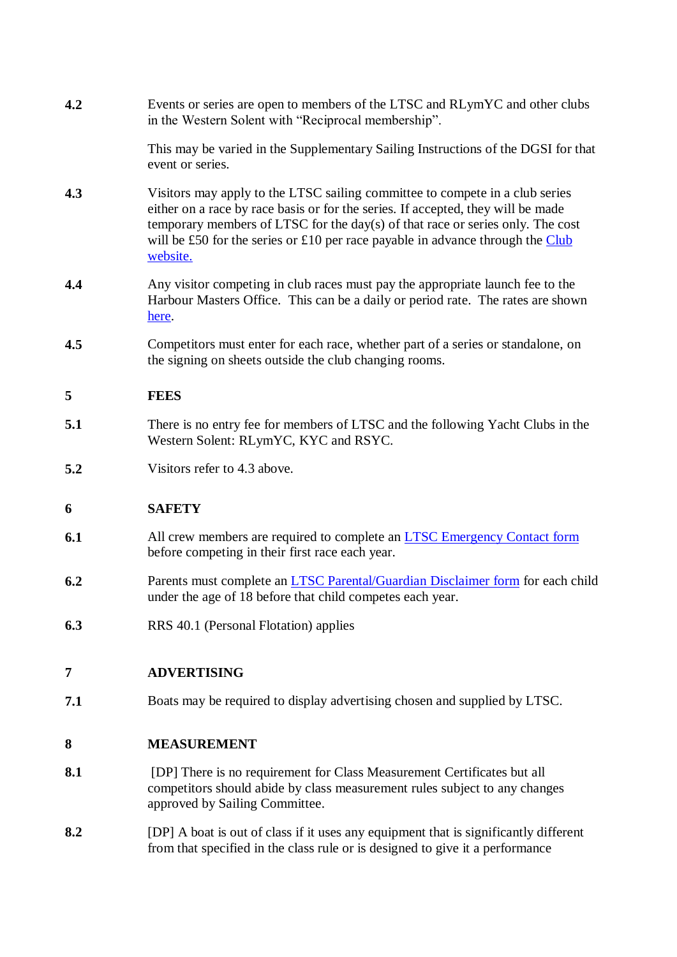**4.2** Events or series are open to members of the LTSC and RLymYC and other clubs in the Western Solent with "Reciprocal membership". This may be varied in the Supplementary Sailing Instructions of the DGSI for that

**4.3** Visitors may apply to the LTSC sailing committee to compete in a club series either on a race by race basis or for the series. If accepted, they will be made temporary members of LTSC for the day(s) of that race or series only. The cost will be £50 for the series or £10 per race payable in advance through the  $\frac{\text{Club}}{\text{l}}$ [website.](https://ltscvisitor.eharbours.co.uk/)

- **4.4** Any visitor competing in club races must pay the appropriate launch fee to the Harbour Masters Office. This can be a daily or period rate. The rates are shown [here.](https://www.lymingtonharbour.co.uk/visitor-dues-and-charges)
- **4.5** Competitors must enter for each race, whether part of a series or standalone, on the signing on sheets outside the club changing rooms.

## **5 FEES**

- **5.1** There is no entry fee for members of LTSC and the following Yacht Clubs in the Western Solent: RLymYC, KYC and RSYC.
- **5.2** Visitors refer to 4.3 above.

event or series.

#### **6 SAFETY**

- **6.1** All crew members are required to complete an [LTSC Emergency](https://www.ltsc.co.uk/notices) Contact form before competing in their first race each year.
- **6.2** Parents must complete an [LTSC Parental/Guardian Disclaimer form](https://www.ltsc.co.uk/notices) for each child under the age of 18 before that child competes each year.
- **6.3** RRS 40.1 (Personal Flotation) applies

## **7 ADVERTISING**

**7.1** Boats may be required to display advertising chosen and supplied by LTSC.

#### **8 MEASUREMENT**

- **8.1** [DP] There is no requirement for Class Measurement Certificates but all competitors should abide by class measurement rules subject to any changes approved by Sailing Committee.
- **8.2** [DP] A boat is out of class if it uses any equipment that is significantly different from that specified in the class rule or is designed to give it a performance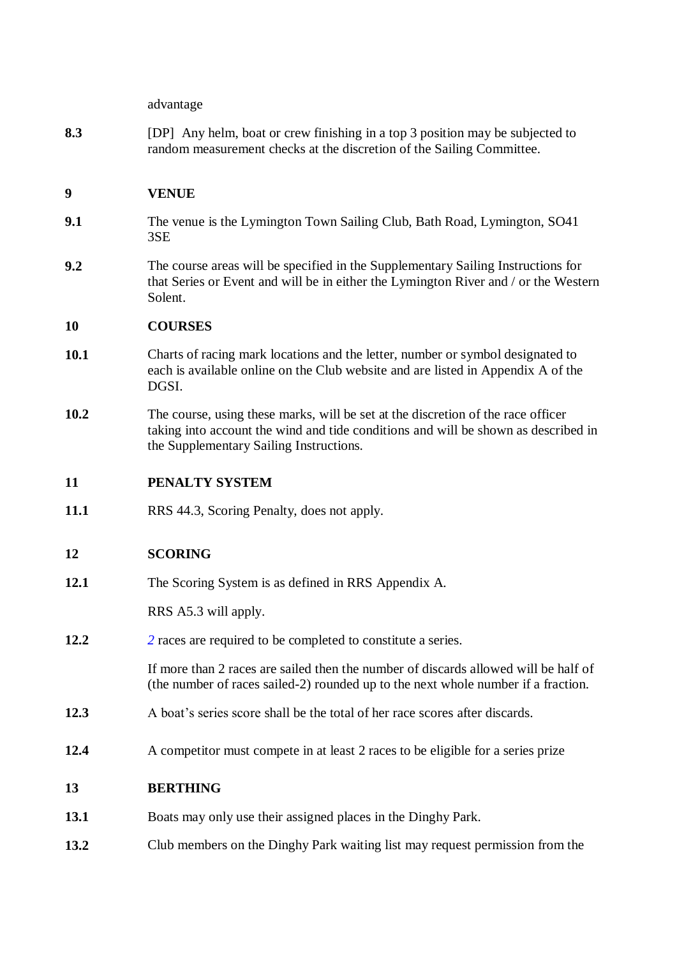advantage

**8.3** [DP] Any helm, boat or crew finishing in a top 3 position may be subjected to random measurement checks at the discretion of the Sailing Committee.

#### **9 VENUE**

- **9.1** The venue is the Lymington Town Sailing Club, Bath Road, Lymington, SO41 3SE
- **9.2** The course areas will be specified in the Supplementary Sailing Instructions for that Series or Event and will be in either the Lymington River and / or the Western Solent.

#### **10 COURSES**

- **10.1** Charts of racing mark locations and the letter, number or symbol designated to each is available online on the Club website and are listed in Appendix A of the DGSI.
- **10.2** The course, using these marks, will be set at the discretion of the race officer taking into account the wind and tide conditions and will be shown as described in the Supplementary Sailing Instructions.

## **11 PENALTY SYSTEM**

**11.1** RRS 44.3, Scoring Penalty, does not apply.

## **12 SCORING**

**12.1** The Scoring System is as defined in RRS Appendix A.

RRS A5.3 will apply.

**12.2** *2* races are required to be completed to constitute a series.

If more than 2 races are sailed then the number of discards allowed will be half of (the number of races sailed-2) rounded up to the next whole number if a fraction.

- **12.3** A boat's series score shall be the total of her race scores after discards.
- **12.4** A competitor must compete in at least 2 races to be eligible for a series prize

#### **13 BERTHING**

- **13.1** Boats may only use their assigned places in the Dinghy Park.
- **13.2** Club members on the Dinghy Park waiting list may request permission from the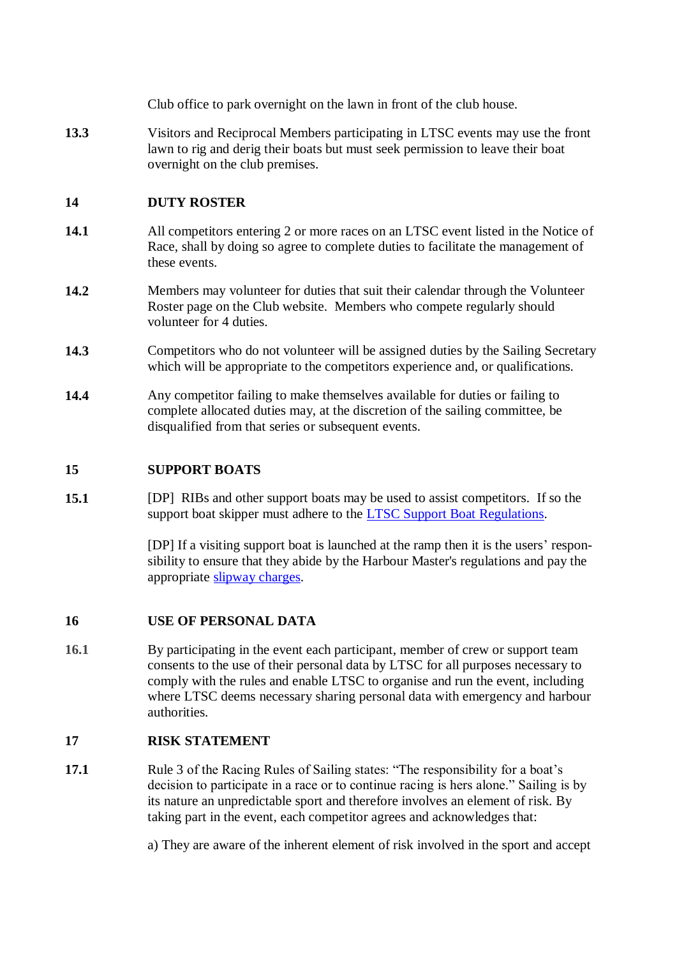Club office to park overnight on the lawn in front of the club house.

**13.3** Visitors and Reciprocal Members participating in LTSC events may use the front lawn to rig and derig their boats but must seek permission to leave their boat overnight on the club premises.

## **14 DUTY ROSTER**

- **14.1** All competitors entering 2 or more races on an LTSC event listed in the Notice of Race, shall by doing so agree to complete duties to facilitate the management of these events.
- **14.2** Members may volunteer for duties that suit their calendar through the Volunteer Roster page on the Club website. Members who compete regularly should volunteer for 4 duties.
- **14.3** Competitors who do not volunteer will be assigned duties by the Sailing Secretary which will be appropriate to the competitors experience and, or qualifications.
- **14.4** Any competitor failing to make themselves available for duties or failing to complete allocated duties may, at the discretion of the sailing committee, be disqualified from that series or subsequent events.

## **15 SUPPORT BOATS**

**15.1** [DP] RIBs and other support boats may be used to assist competitors. If so the support boat skipper must adhere to the LTSC Support Boat [Regulations.](https://ca0165c7-ef52-45b2-a816-a8f9fa607205.filesusr.com/ugd/7ebbe5_899778ffda7f4235b9991a45050a5554.pdf)

> [DP] If a visiting support boat is launched at the ramp then it is the users' responsibility to ensure that they abide by the Harbour Master's regulations and pay the appropriate slipway [charges.](https://www.lymingtonharbour.co.uk/slipway-charges)

## **16 USE OF PERSONAL DATA**

**16.1** By participating in the event each participant, member of crew or support team consents to the use of their personal data by LTSC for all purposes necessary to comply with the rules and enable LTSC to organise and run the event, including where LTSC deems necessary sharing personal data with emergency and harbour authorities.

## **17 RISK STATEMENT**

**17.1 Rule 3 of the Racing Rules of Sailing states: "The responsibility for a boat's** decision to participate in a race or to continue racing is hers alone." Sailing is by its nature an unpredictable sport and therefore involves an element of risk. By taking part in the event, each competitor agrees and acknowledges that:

a) They are aware of the inherent element of risk involved in the sport and accept